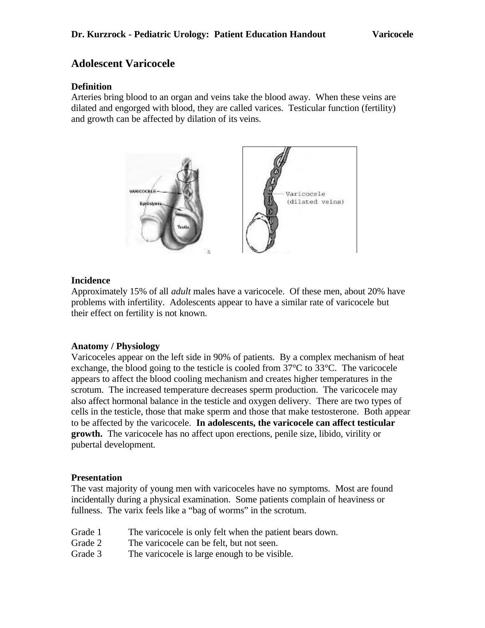# **Adolescent Varicocele**

# **Definition**

Arteries bring blood to an organ and veins take the blood away. When these veins are dilated and engorged with blood, they are called varices. Testicular function (fertility) and growth can be affected by dilation of its veins.



### **Incidence**

Approximately 15% of all *adult* males have a varicocele. Of these men, about 20% have problems with infertility. Adolescents appear to have a similar rate of varicocele but their effect on fertility is not known.

### **Anatomy / Physiology**

Varicoceles appear on the left side in 90% of patients. By a complex mechanism of heat exchange, the blood going to the testicle is cooled from  $37^{\circ}$ C to  $33^{\circ}$ C. The varicocele appears to affect the blood cooling mechanism and creates higher temperatures in the scrotum. The increased temperature decreases sperm production. The varicocele may also affect hormonal balance in the testicle and oxygen delivery. There are two types of cells in the testicle, those that make sperm and those that make testosterone. Both appear to be affected by the varicocele. **In adolescents, the varicocele can affect testicular growth.** The varicocele has no affect upon erections, penile size, libido, virility or pubertal development.

### **Presentation**

The vast majority of young men with varicoceles have no symptoms. Most are found incidentally during a physical examination. Some patients complain of heaviness or fullness. The varix feels like a "bag of worms" in the scrotum.

- Grade 1 The varicocele is only felt when the patient bears down.
- Grade 2 The varicocele can be felt, but not seen.
- Grade 3 The varicocele is large enough to be visible.